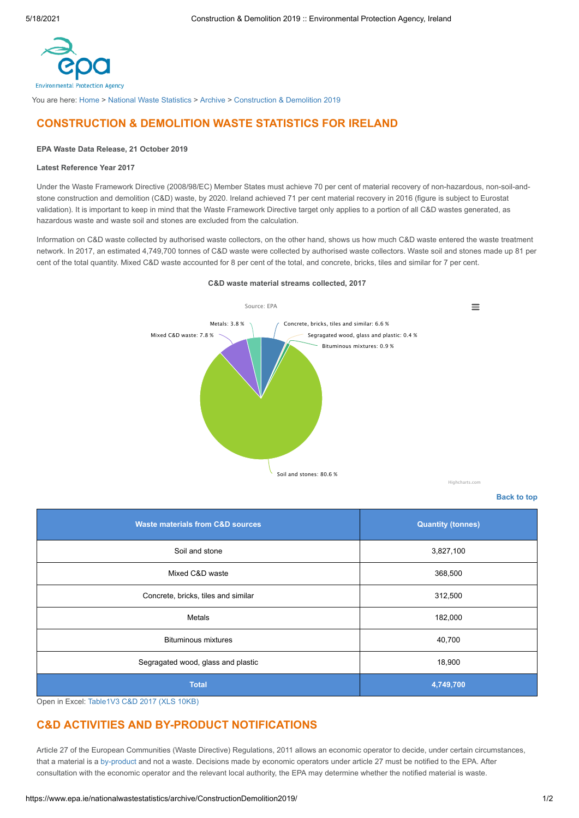<span id="page-0-0"></span>

You are here: [Home](https://www.epa.ie/) > [National Waste Statistics](https://www.epa.ie/nationalwastestatistics/) > [Archive](https://www.epa.ie/nationalwastestatistics/archive/) > [Construction & Demolition 2019](https://www.epa.ie/nationalwastestatistics/archive/constructiondemolition2019/)

# **CONSTRUCTION & DEMOLITION WASTE STATISTICS FOR IRELAND**

## **EPA Waste Data Release, 21 October 2019**

## **Latest Reference Year 2017**

Under the Waste Framework Directive (2008/98/EC) Member States must achieve 70 per cent of material recovery of non-hazardous, non-soil-andstone construction and demolition (C&D) waste, by 2020. Ireland achieved 71 per cent material recovery in 2016 (figure is subject to Eurostat validation). It is important to keep in mind that the Waste Framework Directive target only applies to a portion of all C&D wastes generated, as hazardous waste and waste soil and stones are excluded from the calculation.

Information on C&D waste collected by authorised waste collectors, on the other hand, shows us how much C&D waste entered the waste treatment network. In 2017, an estimated 4,749,700 tonnes of C&D waste were collected by authorised waste collectors. Waste soil and stones made up 81 per cent of the total quantity. Mixed C&D waste accounted for 8 per cent of the total, and concrete, bricks, tiles and similar for 7 per cent.



### **C&D waste material streams collected, 2017**

**[Back to top](#page-0-0)**

| <b>Waste materials from C&amp;D sources</b> | <b>Quantity (tonnes)</b> |
|---------------------------------------------|--------------------------|
| Soil and stone                              | 3,827,100                |
| Mixed C&D waste                             | 368,500                  |
| Concrete, bricks, tiles and similar         | 312,500                  |
| Metals                                      | 182,000                  |
| <b>Bituminous mixtures</b>                  | 40,700                   |
| Segragated wood, glass and plastic          | 18,900                   |
| <b>Total</b>                                | 4,749,700                |

Open in Excel: [Table1V3 C&D 2017 \(XLS 10KB\)](https://www.epa.ie/media/Table%201_Material%20categories%20of%20C&D%20waste%20collected_2017-3.xlsx)

# **C&D ACTIVITIES AND BY-PRODUCT NOTIFICATIONS**

Article 27 of the European Communities (Waste Directive) Regulations, 2011 allows an economic operator to decide, under certain circumstances, that a material is a [by-product](http://www.epa.ie/waste/wastereg/byprod/) and not a waste. Decisions made by economic operators under article 27 must be notified to the EPA. After consultation with the economic operator and the relevant local authority, the EPA may determine whether the notified material is waste.